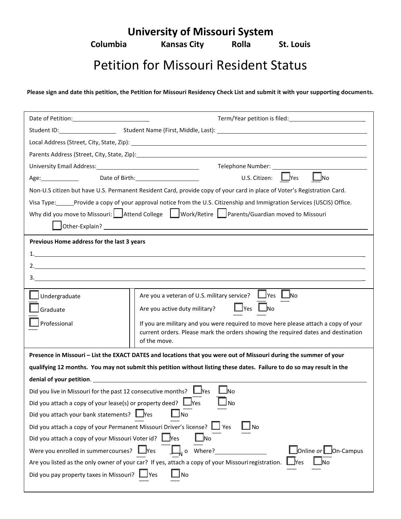**University of Missouri System**

**Columbia Kansas City Rolla St. Louis**

## Petition for Missouri Resident Status

**Please sign and date this petition, the Petition for Missouri Residency Check List and submit it with your supporting documents.**

|                                                                                                                                                        | Parents Address (Street, City, State, Zip): 2008 2014 2022 2023 2024 2024 2022 2023 2024 2022 2023 2024 2022 20         |  |  |  |
|--------------------------------------------------------------------------------------------------------------------------------------------------------|-------------------------------------------------------------------------------------------------------------------------|--|--|--|
| University Email Address: Management Control of the University Email Address:                                                                          |                                                                                                                         |  |  |  |
| Age: Date of Birth: Network of Birth Age:                                                                                                              | U.S. Citizen: Yes<br>$\bigsqcup$ No                                                                                     |  |  |  |
|                                                                                                                                                        | Non-U.S citizen but have U.S. Permanent Resident Card, provide copy of your card in place of Voter's Registration Card. |  |  |  |
|                                                                                                                                                        | Visa Type: Provide a copy of your approval notice from the U.S. Citizenship and Immigration Services (USCIS) Office.    |  |  |  |
|                                                                                                                                                        | Why did you move to Missouri:   Attend College   Work/Retire   Parents/Guardian moved to Missouri                       |  |  |  |
|                                                                                                                                                        |                                                                                                                         |  |  |  |
| Previous Home address for the last 3 years                                                                                                             |                                                                                                                         |  |  |  |
| 1.                                                                                                                                                     |                                                                                                                         |  |  |  |
|                                                                                                                                                        |                                                                                                                         |  |  |  |
| $3.$ $\overline{\phantom{a}}$                                                                                                                          |                                                                                                                         |  |  |  |
|                                                                                                                                                        |                                                                                                                         |  |  |  |
| Undergraduate                                                                                                                                          | Are you a veteran of U.S. military service? $\Box$ Yes $\Box$ No                                                        |  |  |  |
| Graduate                                                                                                                                               | $\Box$ Yes $\Box$ No<br>Are you active duty military?                                                                   |  |  |  |
| Professional                                                                                                                                           | If you are military and you were required to move here please attach a copy of your                                     |  |  |  |
|                                                                                                                                                        | current orders. Please mark the orders showing the required dates and destination<br>of the move.                       |  |  |  |
|                                                                                                                                                        |                                                                                                                         |  |  |  |
|                                                                                                                                                        | Presence in Missouri - List the EXACT DATES and locations that you were out of Missouri during the summer of your       |  |  |  |
|                                                                                                                                                        | qualifying 12 months. You may not submit this petition without listing these dates. Failure to do so may result in the  |  |  |  |
| denial of your petition.                                                                                                                               | ∣_l <sub>No</sub>                                                                                                       |  |  |  |
| Did you live in Missouri for the past 12 consecutive months? $\Box$ Yes                                                                                |                                                                                                                         |  |  |  |
| Did you attach a copy of your lease(s) or property deed? $\Box$ Yes<br>N <sub>o</sub><br>Did you attach your bank statements? Mes<br>No                |                                                                                                                         |  |  |  |
|                                                                                                                                                        |                                                                                                                         |  |  |  |
| Did you attach a copy of your Permanent Missouri Driver's license? □ Yes<br><b>No</b><br>Did you attach a copy of your Missouri Voter id?<br>$\Box$ No |                                                                                                                         |  |  |  |
| Were you enrolled in summercourses? $\Box$ Yes $\Box$ o Where?<br>Online or <u>Lon-Campus</u>                                                          |                                                                                                                         |  |  |  |
| Are you listed as the only owner of your car? If yes, attach a copy of your Missouri registration.<br><u>l</u> Yes                                     |                                                                                                                         |  |  |  |
| Did you pay property taxes in Missouri? $\Box$ Yes<br>JNo                                                                                              |                                                                                                                         |  |  |  |
|                                                                                                                                                        |                                                                                                                         |  |  |  |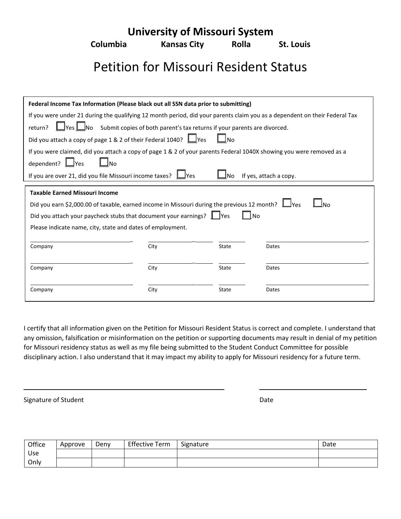**University of Missouri System**

**Columbia Kansas City Rolla St. Louis**

## Petition for Missouri Resident Status

| Federal Income Tax Information (Please black out all SSN data prior to submitting)                                         |      |       |       |  |  |  |  |  |
|----------------------------------------------------------------------------------------------------------------------------|------|-------|-------|--|--|--|--|--|
| If you were under 21 during the qualifying 12 month period, did your parents claim you as a dependent on their Federal Tax |      |       |       |  |  |  |  |  |
| $\Box$ No Submit copies of both parent's tax returns if your parents are divorced.<br>$\sf{I}$ Yes $\sf{L}$<br>return?     |      |       |       |  |  |  |  |  |
| Did you attach a copy of page 1 & 2 of their Federal 1040? Ves<br>ا No                                                     |      |       |       |  |  |  |  |  |
| If you were claimed, did you attach a copy of page 1 & 2 of your parents Federal 1040X showing you were removed as a       |      |       |       |  |  |  |  |  |
| dependent? Lyes                                                                                                            |      |       |       |  |  |  |  |  |
| If you are over 21, did you file Missouri income taxes? $\Box$ Yes<br>If yes, attach a copy.<br><b>No</b>                  |      |       |       |  |  |  |  |  |
| <b>Taxable Earned Missouri Income</b>                                                                                      |      |       |       |  |  |  |  |  |
| Did you earn \$2,000.00 of taxable, earned income in Missouri during the previous 12 month?                                |      |       |       |  |  |  |  |  |
| Did you attach your paycheck stubs that document your earnings?       Yes<br>l No                                          |      |       |       |  |  |  |  |  |
| Please indicate name, city, state and dates of employment.                                                                 |      |       |       |  |  |  |  |  |
|                                                                                                                            |      |       |       |  |  |  |  |  |
| Company                                                                                                                    |      |       |       |  |  |  |  |  |
|                                                                                                                            | City | State | Dates |  |  |  |  |  |
|                                                                                                                            |      |       |       |  |  |  |  |  |
| Company                                                                                                                    | City | State | Dates |  |  |  |  |  |
| Company                                                                                                                    | City | State | Dates |  |  |  |  |  |

I certify that all information given on the Petition for Missouri Resident Status is correct and complete. I understand that any omission, falsification or misinformation on the petition or supporting documents may result in denial of my petition for Missouri residency status as well as my file being submitted to the Student Conduct Committee for possible disciplinary action. I also understand that it may impact my ability to apply for Missouri residency for a future term.

Signature of Student Date Communications and Date Date Date

| Office | Approve | Deny | <b>Effective Term</b> | Signature | Date |
|--------|---------|------|-----------------------|-----------|------|
| Use    |         |      |                       |           |      |
| Only   |         |      |                       |           |      |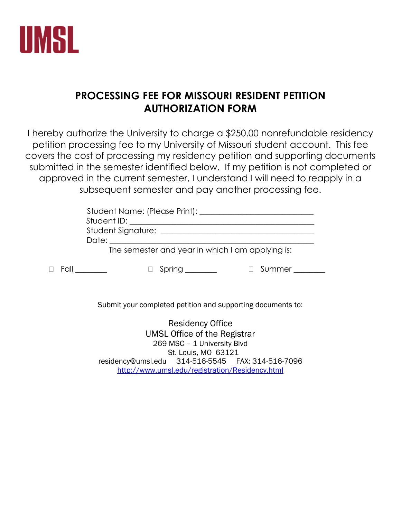

## **PROCESSING FEE FOR MISSOURI RESIDENT PETITION AUTHORIZATION FORM**

I hereby authorize the University to charge a \$250.00 nonrefundable residency petition processing fee to my University of Missouri student account. This fee covers the cost of processing my residency petition and supporting documents submitted in the semester identified below. If my petition is not completed or approved in the current semester, I understand I will need to reapply in a subsequent semester and pay another processing fee.

|                         | Student Name: (Please Print): _______<br>Student ID: Student ID: Student ID: Student ID: Student ID: Student ID: Student I |  |
|-------------------------|----------------------------------------------------------------------------------------------------------------------------|--|
|                         | Date: Date:                                                                                                                |  |
|                         | The semester and year in which I am applying is:                                                                           |  |
| $\Box$ Fall $\Box$ Fall | Spring _______<br>Summer                                                                                                   |  |

Submit your completed petition and supporting documents to:

Residency Office UMSL Office of the Registrar 269 MSC – 1 University Blvd St. Louis, MO 63121 residency@umsl.edu 314-516-5545 FAX: 314-516-7096 <http://www.umsl.edu/registration/Residency.html>